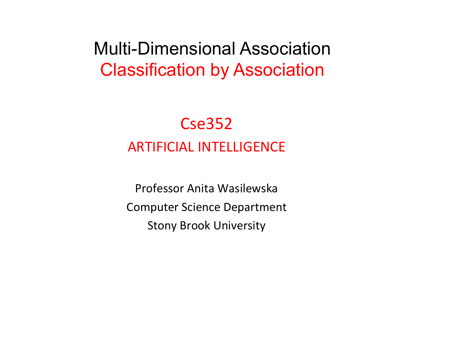#### Multi-Dimensional Association Classification by Association

#### Cse352 **ARTIFICIAL INTELLIGENCE**

Professor Anita Wasilewska Computer Science Department **Stony Brook University**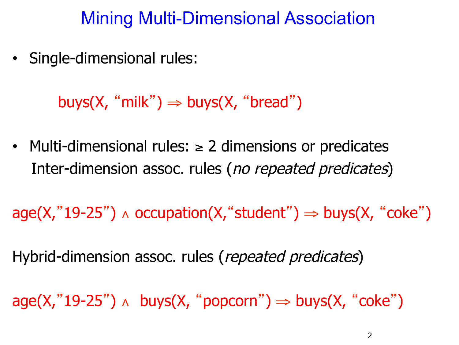#### Mining Multi-Dimensional Association

• Single-dimensional rules:

buys(X, "milk")  $\Rightarrow$  buys(X, "bread")

Multi-dimensional rules:  $\geq$  2 dimensions or predicates Inter-dimension assoc. rules (no repeated predicates)

 $aqe(X," 19-25") \wedge occupation(X, "student") \Rightarrow buys(X, "coke")$ 

Hybrid-dimension assoc. rules (repeated predicates)

 $age(X," 19-25") \wedge buys(X, "popcorn") \Rightarrow buys(X, "coke")$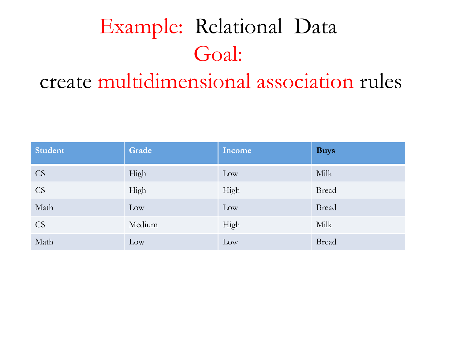# Example: Relational Data Goal:

### create multidimensional association rules

| <b>Student</b> | Grade  | Income | <b>Buys</b>  |
|----------------|--------|--------|--------------|
| <b>CS</b>      | High   | Low    | Milk         |
| <b>CS</b>      | High   | High   | <b>Bread</b> |
| Math           | Low    | Low    | <b>Bread</b> |
| <b>CS</b>      | Medium | High   | Milk         |
| Math           | Low    | Low    | <b>Bread</b> |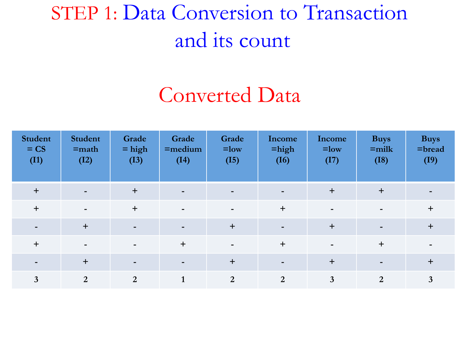# STEP 1: Data Conversion to Transaction and its count

### Converted Data

| <b>Student</b><br>$=$ CS<br>(I1) | <b>Student</b><br>$=$ math<br>(I2) | Grade<br>$=$ high<br>(I3) | Grade<br>$=$ medium<br>(I4) | Grade<br>$=$ low<br>(I5) | Income<br>$=$ high<br>(I6) | Income<br>$=$ low<br>(I7) | <b>Buys</b><br>$=$ milk<br>(I8) | <b>Buys</b><br>$=$ bread<br>(I9) |
|----------------------------------|------------------------------------|---------------------------|-----------------------------|--------------------------|----------------------------|---------------------------|---------------------------------|----------------------------------|
| $+$                              | $\blacksquare$                     | $+$                       | $\blacksquare$              | $\overline{\phantom{0}}$ |                            | $\ddot{}$                 | $+$                             |                                  |
| $\ddot{}$                        | $\blacksquare$                     | $+$                       | $\blacksquare$              | $\blacksquare$           | $\ddot{}$                  |                           | $\overline{\phantom{a}}$        | $\ddot{}$                        |
|                                  | $\ddot{}$                          | $\blacksquare$            | $\overline{\phantom{a}}$    | $+$                      |                            | $\ddot{}$                 | $\blacksquare$                  | $\ddot{}$                        |
| $\ddot{}$                        | $\overline{\phantom{a}}$           | $\overline{\phantom{a}}$  | $+$                         | $\blacksquare$           | $+$                        | $\overline{\phantom{0}}$  | $\ddot{}$                       |                                  |
|                                  | $\ddot{}$                          | $\overline{\phantom{0}}$  | $\overline{\phantom{0}}$    | $+$                      |                            | $+$                       | $\blacksquare$                  | $+$                              |
| 3                                | $\overline{2}$                     | 2                         |                             | $\overline{2}$           | 2                          | 3                         | $\overline{2}$                  | $\mathbf{3}$                     |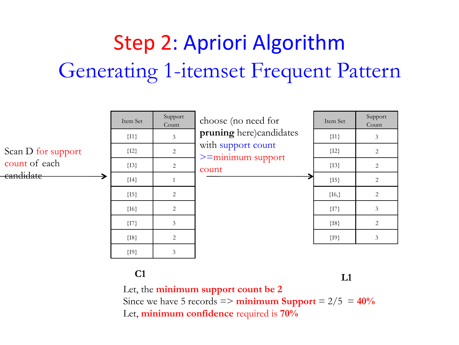# Step 2: Apriori Algorithm Generating 1-itemset Frequent Pattern



**C1 L1** 

Let, the **minimum support count be 2**  Since we have  $5$  records  $\Rightarrow$  **minimum Support**  $= 2/5 = 40\%$ Let, **minimum confidence** required is **70%**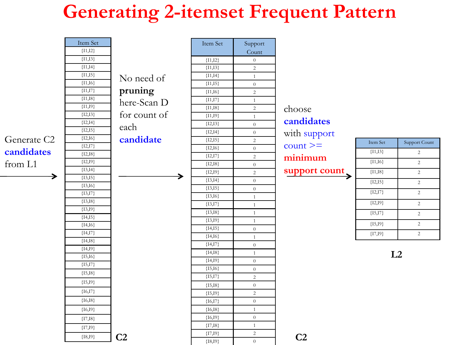### **Generating 2-itemset Frequent Pattern**

|                         | Item Set               |                | Item Set                | Support                            |                |            |                |
|-------------------------|------------------------|----------------|-------------------------|------------------------------------|----------------|------------|----------------|
|                         | ${I1,I2}$              |                |                         | Count                              |                |            |                |
|                         | ${11,13}$              |                | ${I1,I2}$               | $\boldsymbol{0}$                   |                |            |                |
|                         | $\{11,14\}$            |                | $\overline{\{11,13\}}$  | $\sqrt{2}$                         |                |            |                |
|                         | ${11,15}$              | No need of     | ${1,14}$                | $\mathbf{1}$                       |                |            |                |
|                         | ${11,16}$              |                | ${11,15}$               | $\theta$                           |                |            |                |
|                         | ${1,17}$               | pruning        | ${11,16}$               | $\sqrt{2}$                         |                |            |                |
|                         | ${1,18}$               | here-Scan D    | ${1,17}$                | $\mathbf{1}$                       |                |            |                |
|                         | ${1,19}$               |                | ${1,18}$                | $\sqrt{2}$                         | choose         |            |                |
|                         | ${I2,I3}$<br>${I2,I4}$ | for count of   | ${1,19}$                | $\mathbf{1}$                       | candidates     |            |                |
|                         | ${I2,I5}$              | each           | ${I2,I3}$               | $\overline{0}$                     |                |            |                |
|                         | ${I2,I6}$              |                | ${I2,I4}$               | $\boldsymbol{0}$                   | with support   |            |                |
| Generate C <sub>2</sub> | ${I2,I7}$              | candidate      | ${12,15}$               | $\sqrt{2}$                         | $count >=$     | Item Set   | Support Count  |
| candidates              | ${I2,I8}$              |                | ${I2,I6}$               | $\bar{0}$                          |                | ${11,13}$  | $\sqrt{2}$     |
|                         | ${I2,I9}$              |                | ${I2,I7}$               | $\overline{2}$                     | minimum        | ${1,16}$   | $\overline{2}$ |
| from L1                 | ${13,14}$              |                | ${I2, I8}$              | $\boldsymbol{0}$                   | support count  | ${1,18}$   |                |
| $\blacktriangleright$   | ${13,15}$              | →              | ${I2, I9}$<br>${13,14}$ | $\sqrt{2}$                         |                |            | $\overline{2}$ |
|                         | ${13,16}$              |                | ${13,15}$               | $\boldsymbol{0}$<br>$\overline{0}$ |                | ${I2,I5}$  | $\sqrt{2}$     |
|                         | ${13,17}$              |                | ${13,16}$               | $\mathbf{1}$                       |                | ${I2,I7}$  | $\overline{2}$ |
|                         | ${13,18}$              |                | ${13,17}$               | $\mathbf{1}$                       |                | ${I2, I9}$ | $\overline{2}$ |
|                         | ${13,19}$              |                | ${13,18}$               | $\mathbf{1}$                       |                | ${15,17}$  | $\overline{2}$ |
|                         | ${I4,I5}$              |                | ${13,19}$               | $\mathbf{1}$                       |                |            |                |
|                         | ${I4,I6}$              |                | ${14,15}$               | $\overline{0}$                     |                | ${15,19}$  | $\sqrt{2}$     |
|                         | ${14,17}$              |                | ${I4,I6}$               | $\mathbf{1}$                       |                | ${I7, I9}$ | $\sqrt{2}$     |
|                         | ${I4,I8}$              |                | ${14,17}$               | $\overline{0}$                     |                |            |                |
|                         | ${I4,I9}$              |                | ${I4,I8}$               | $\mathbf{1}$                       |                |            | L2             |
|                         | ${15,16}$              |                | ${14,19}$               | $\overline{0}$                     |                |            |                |
|                         | ${15,17}$              |                | ${15,16}$               | $\boldsymbol{0}$                   |                |            |                |
|                         | ${15,18}$              |                | ${15,17}$               | $\sqrt{2}$                         |                |            |                |
|                         | ${15,19}$              |                | ${15,18}$               | $\boldsymbol{0}$                   |                |            |                |
|                         | ${16,17}$              |                | ${15,19}$               | $\sqrt{2}$                         |                |            |                |
|                         | ${16,18}$              |                | ${16,17}$               | $\overline{0}$                     |                |            |                |
|                         | ${16,19}$              |                | ${16,18}$               | $\mathbf{1}$                       |                |            |                |
|                         | ${I7, I8}$             |                | ${16,19}$               | $\boldsymbol{0}$                   |                |            |                |
|                         | ${I7,I9}$              |                | ${17,18}$               | $\mathbf{1}$                       |                |            |                |
|                         | ${18,19}$              | C <sub>2</sub> | ${17,19}$               | $\sqrt{2}$                         | C <sub>2</sub> |            |                |
|                         |                        |                | ${18,19}$               | $\overline{0}$                     |                |            |                |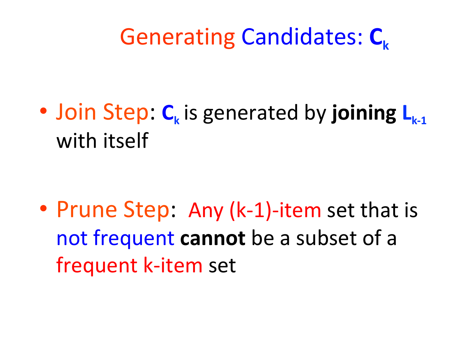# Generating Candidates: C<sub>k</sub>

• Join Step: C<sub>k</sub> is generated by joining L<sub>k-1</sub> with itself

• Prune Step: Any (k-1)-item set that is not frequent cannot be a subset of a frequent k-item set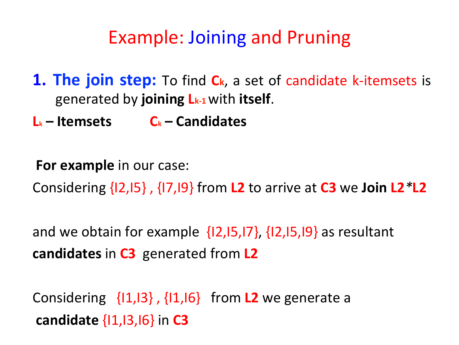### Example: Joining and Pruning

**1. The join step:** To find C<sub>k</sub>, a set of candidate k-itemsets is generated by **joining Lk-1** with **itself**. 

 $L_k$  – Itemsets  $C_k$  – Candidates

**For example** in our case: Considering {I2,I5} , {I7,I9} from **L2** to arrive at **C3** we **Join L2***\****L2** 

and we obtain for example  $\{12,15,17\}$ ,  $\{12,15,19\}$  as resultant **candidates in C3** generated from L2

Considering  $\{11,13\}$ ,  $\{11,16\}$  from **L2** we generate a **candidate**  $\{1,1,13,16\}$  in **C3**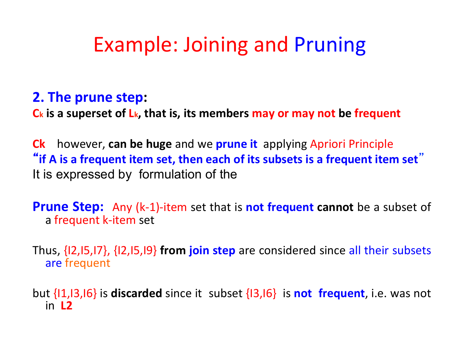# Example: Joining and Pruning

#### **2. The prune step:**

**C<sub>k</sub>** is a superset of L<sub>k</sub>, that is, its members may or may not be frequent

**Ck** however, can be huge and we prune it applying Apriori Principle "if A is a frequent item set, then each of its subsets is a frequent item set<sup>"</sup> It is expressed by formulation of the

**Prune Step:** Any (k-1)-item set that is not frequent cannot be a subset of a frequent k-item set

Thus, {12,15,17}, {12,15,19} **from join step** are considered since all their subsets are frequent

but {11,13,16} is **discarded** since it subset {13,16} is **not frequent**, i.e. was not in 12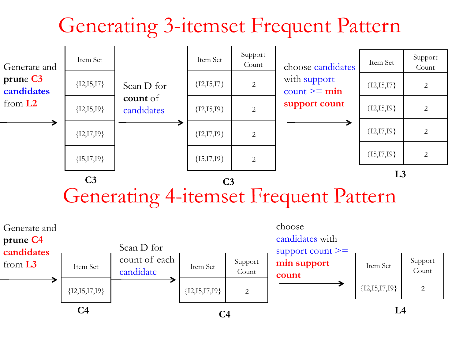# Generating 3-itemset Frequent Pattern



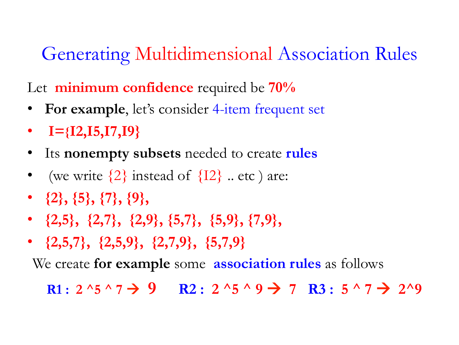### Generating Multidimensional Association Rules

Let **minimum confidence** required be **70%** 

- **For example**, let's consider 4-item frequent set
- $\bullet$  **I**={**I2,I5,I7,I9**}
- Its **nonempty subsets** needed to create **rules**
- (we write  $\{2\}$  instead of  $\{12\}$  .. etc ) are:
- **{2}, {5}, {7}, {9},**
- **{2,5}, {2,7}, {2,9}, {5,7}, {5,9}, {7,9},**
- **{2,5,7}, {2,5,9}, {2,7,9}, {5,7,9}**

We create **for example** some **association rules** as follows

**R1**:  $2^{4}$   $5^{4}$   $7 \rightarrow 9$  **R2**:  $2^{4}$   $5^{4}$   $9 \rightarrow 7$  **R3**:  $5^{4}$   $7 \rightarrow 2^{4}$   $9$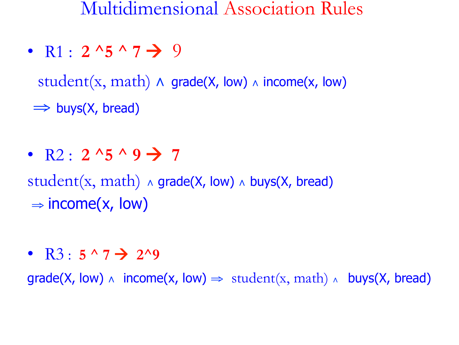Multidimensional Association Rules

• R1 :  $2^{4}5^{4}7 \rightarrow 9$ 

student(x, math)  $\land$  grade(X, low)  $\land$  income(x, low)

 $\Rightarrow$  buys(X, bread)

•  $R2: 2^{15} \land 9 \rightarrow 7$ 

student(x, math)  $\land$  grade(X, low)  $\land$  buys(X, bread)  $\Rightarrow$  income(x, low)

•  $R3: 5 \land 7 \rightarrow 2 \land 9$ 

 $grade(X, low) \wedge income(x, low) \Rightarrow student(x, math) \wedge buy(x, break)$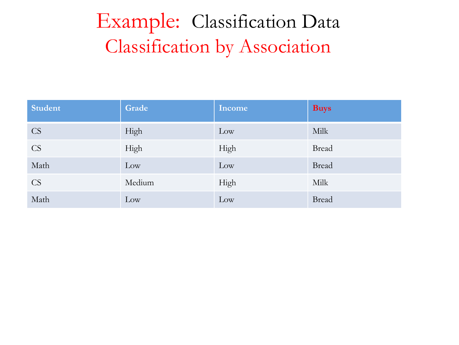# Example: Classification Data Classification by Association

| <b>Student</b> | Grade  | Income | <b>Buys</b>  |
|----------------|--------|--------|--------------|
| <b>CS</b>      | High   | Low    | Milk         |
| <b>CS</b>      | High   | High   | <b>Bread</b> |
| Math           | Low    | Low    | <b>Bread</b> |
| <b>CS</b>      | Medium | High   | Milk         |
| Math           | Low    | Low    | <b>Bread</b> |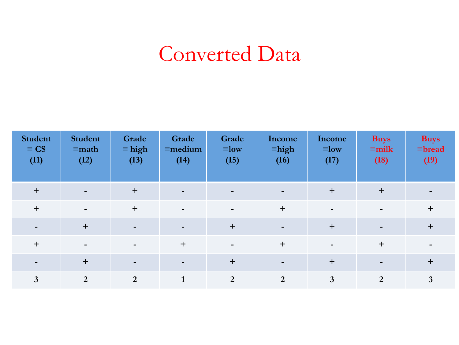## Converted Data

| <b>Student</b><br>$=$ CS<br>(I1) | <b>Student</b><br>$=$ math<br>(I2) | Grade<br>$=$ high<br>(I3) | Grade<br>$=$ medium<br>(I4) | Grade<br>$=$ low<br>(I5) | Income<br>$=$ high<br>(I6) | Income<br>$=$ low<br>(I7) | <b>Buys</b><br>$=$ milk<br>(I8) | <b>Buys</b><br>$=$ bread<br>(I9) |
|----------------------------------|------------------------------------|---------------------------|-----------------------------|--------------------------|----------------------------|---------------------------|---------------------------------|----------------------------------|
| $+$                              | $\blacksquare$                     | $+$                       | -                           | $\blacksquare$           |                            | $+$                       | $+$                             |                                  |
| $\ddot{}$                        | $\overline{\phantom{a}}$           | $\ddot{}$                 | $\overline{\phantom{0}}$    | $\,$                     | $+$                        |                           | $\blacksquare$                  | $\ddot{}$                        |
|                                  | $+$                                |                           |                             | $+$                      |                            | $+$                       | $\blacksquare$                  | $\ddot{}$                        |
| $\ddot{}$                        | $\blacksquare$                     | $\blacksquare$            | $+$                         | $\blacksquare$           | $\ddot{}$                  |                           | $+$                             |                                  |
|                                  | $+$                                |                           | -                           | $+$                      |                            | $+$                       | $\blacksquare$                  | $\ddot{}$                        |
| $\mathbf{3}$                     | $\overline{2}$                     | 2                         |                             | $\overline{2}$           | 2                          | $\mathbf{3}$              | $\overline{2}$                  | 3                                |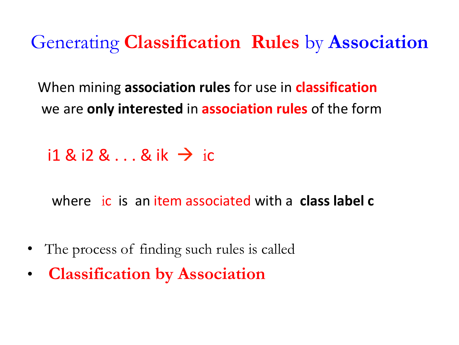Generating **Classification Rules** by **Association**

When mining **association rules** for use in **classification** we are **only interested** in **association rules** of the form

 $i1$  &  $i2$  &  $\dots$  & ik  $\rightarrow$  ic

where ic is an item associated with a class label c

- The process of finding such rules is called
- **Classification by Association**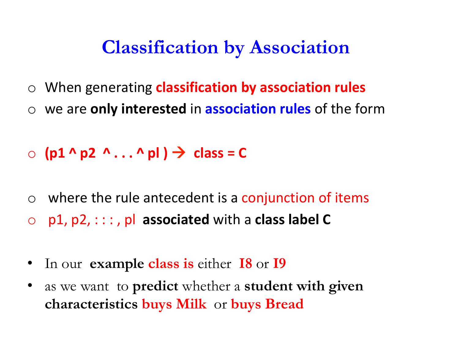#### **Classification by Association**

- o When generating **classification by association rules**
- o we are **only interested** in **association rules** of the form
- $\circ$  (p1 ^ p2 ^ . . . ^ pl )  $\rightarrow$  class = C
- $\circ$  where the rule antecedent is a conjunction of items  $\circ$   $p1, p2, \dots$ ,  $p1$  associated with a class label C
- In our **example class is** either **I8** or **I9**
- as we want to **predict** whether a **student with given characteristics buys Milk** or **buys Bread**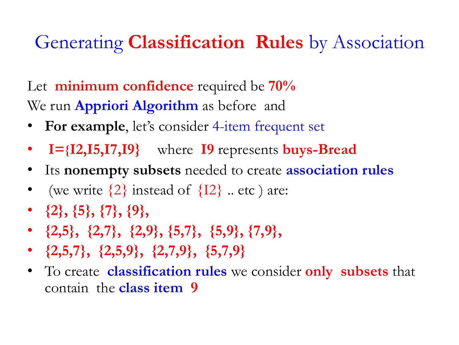### Generating **Classification Rules** by Association

Let **minimum confidence** required be **70%**  We run **Appriori Algorithm** as before and

- **For example**, let's consider 4-item frequent set
- • **I={I2,I5,I7,I9}** where **I9** represents **buys-Bread**
- Its **nonempty subsets** needed to create **association rules**
- (we write  $\{2\}$  instead of  $\{12\}$  .. etc ) are:
- **{2}, {5}, {7}, {9},**
- **{2,5}, {2,7}, {2,9}, {5,7}, {5,9}, {7,9},**
- **{2,5,7}, {2,5,9}, {2,7,9}, {5,7,9}**
- To create **classification rules** we consider **only subsets** that contain the **class item 9**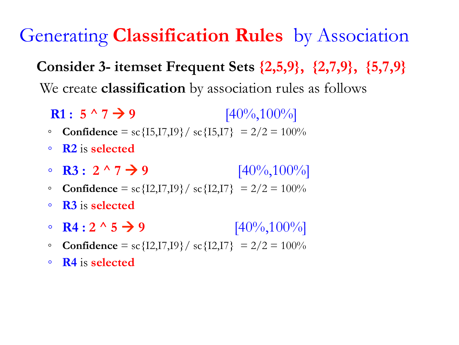Generating **Classification Rules** by Association

**Consider 3- itemset Frequent Sets {2,5,9}, {2,7,9}, {5,7,9}**  We create **classification** by association rules as follows

**R1**:  $5 \land 7 \rightarrow 9$  [40%,100%]

- **Confidence** = sc{I5,I7,I9}/ sc{I5,I7} = 2/2 = 100%
- **R2** is **selected**
- **R3**: 2 ^ 7 → 9  $[40\%, 100\%]$
- **Confidence** = sc{I2,I7,I9}/ sc{I2,I7} = 2/2 = 100%
- **R3** is **selected**
- **R4** :  $2 \wedge 5 \rightarrow 9$  [40%,100%]
- **Confidence** = sc{I2,I7,I9}/ sc{I2,I7} = 2/2 = 100%
- **R4** is **selected**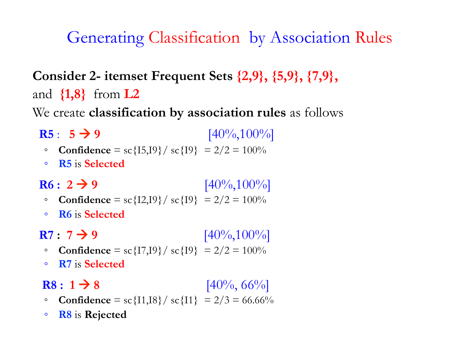#### Generating Classification by Association Rules

**Consider 2- itemset Frequent Sets {2,9}, {5,9}, {7,9},**  and **{1,8}** from **L2** 

We create **classification by association rules** as follows

- **R5**: **5** $\rightarrow$  **9** [40%,100%]
	- **Confidence** = sc{I5,I9}/ sc{I9} = 2/2 = 100%
	- **R5** is **Selected**

**R6 : 2**  $\rightarrow$  **9** [40%,100%]

- **Confidence** = sc{I2,I9}/ sc{I9} = 2/2 = 100%
- **R6** is **Selected**

**R7 : 7**  $\rightarrow$  **9** [40%,100%]

- **Confidence** = sc{I7,I9}/ sc{I9} = 2/2 = 100%
- **R7** is **Selected**

**R8**:  $1 \rightarrow 8$  [40%, 66%]

- **Confidence** = sc{I1,I8}/ sc{I1} = 2/3 = 66.66%
- **R8** is **Rejected**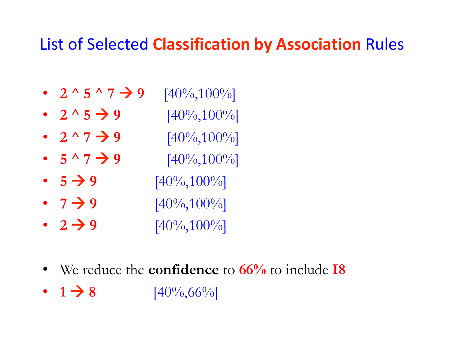#### List of Selected **Classification by Association** Rules

- 2 ^ 5 ^ 7  $\rightarrow$  9  $[40\%, 100\%]$
- $2^{\wedge} 5 \rightarrow 9$  [40%,100%]
- $2^{\wedge} 7$   $\rightarrow$  9  $[40\%, 100\%]$
- $5 \land 7 \rightarrow 9$   $[40\%, 100\%]$
- $5 \rightarrow 9$   $[40\%, 100\%]$
- $7 \rightarrow 9$   $[40\%, 100\%]$
- **2**  $\rightarrow$  **9**  $[40\%, 100\%]$
- We reduce the **confidence** to **66%** to include **I8**
- $1 \rightarrow 8$   $[40\%, 66\%]$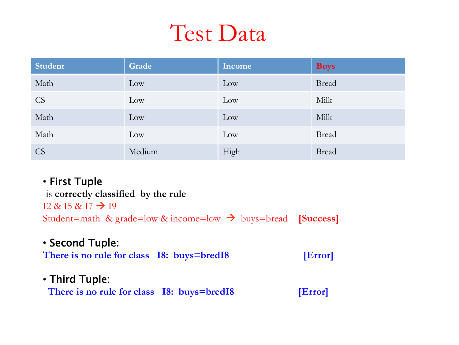# Test Data

| <b>Student</b> | Grade  | Income | <b>Buys</b>  |
|----------------|--------|--------|--------------|
| Math           | Low    | Low    | <b>Bread</b> |
| <b>CS</b>      | Low    | Low    | Milk         |
| Math           | Low    | Low    | Milk         |
| Math           | Low    | Low    | <b>Bread</b> |
| <b>CS</b>      | Medium | High   | <b>Bread</b> |

#### • First Tuple

 is **correctly classified by the rule**  $12 \& 15 \& 17 \rightarrow 19$ Student=math & grade=low  $\&$  income=low  $\rightarrow$  buys=bread **[Success]** 

#### • Second Tuple:

There is no rule for class I8: buys=bredI8 [Error]

#### • Third Tuple:

There is no rule for class I8: buys=bredI8 [Error]